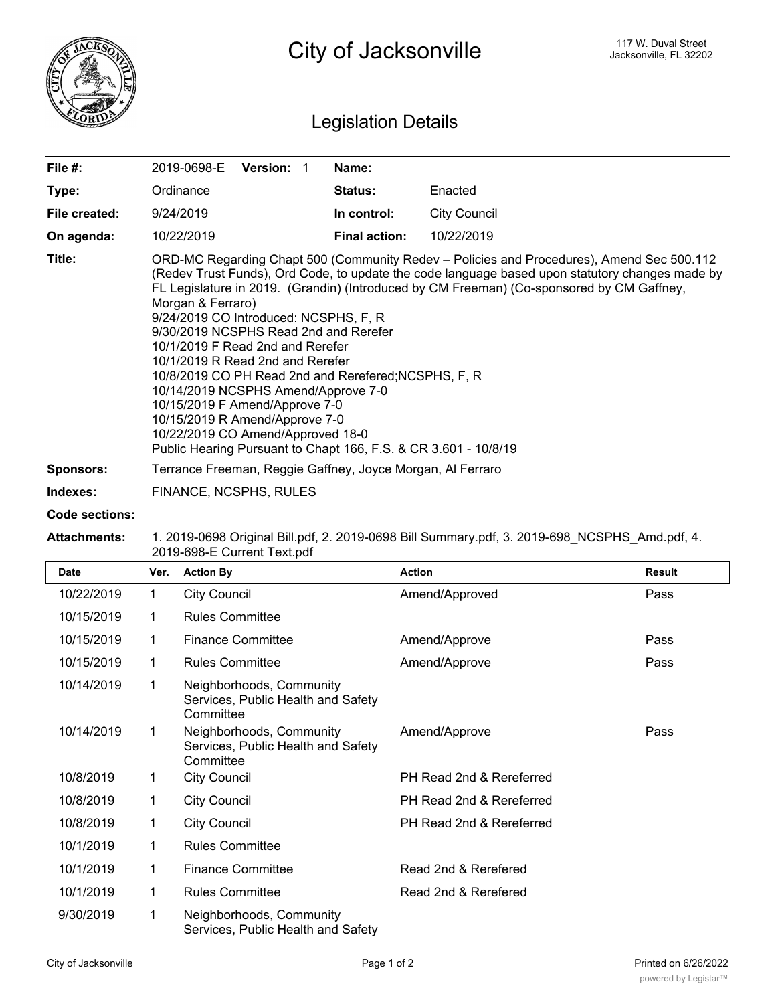

## Legislation Details

| File #:          | <b>Version:</b><br>2019-0698-E                                                                                                                                                                                                                                                                                                                                                                                                                                                                                                                                                                                                                                                                                                                      | Name:                |                     |  |
|------------------|-----------------------------------------------------------------------------------------------------------------------------------------------------------------------------------------------------------------------------------------------------------------------------------------------------------------------------------------------------------------------------------------------------------------------------------------------------------------------------------------------------------------------------------------------------------------------------------------------------------------------------------------------------------------------------------------------------------------------------------------------------|----------------------|---------------------|--|
| Type:            | Ordinance                                                                                                                                                                                                                                                                                                                                                                                                                                                                                                                                                                                                                                                                                                                                           | <b>Status:</b>       | Enacted             |  |
| File created:    | 9/24/2019                                                                                                                                                                                                                                                                                                                                                                                                                                                                                                                                                                                                                                                                                                                                           | In control:          | <b>City Council</b> |  |
| On agenda:       | 10/22/2019                                                                                                                                                                                                                                                                                                                                                                                                                                                                                                                                                                                                                                                                                                                                          | <b>Final action:</b> | 10/22/2019          |  |
| Title:           | ORD-MC Regarding Chapt 500 (Community Redev – Policies and Procedures), Amend Sec 500.112<br>(Redev Trust Funds), Ord Code, to update the code language based upon statutory changes made by<br>FL Legislature in 2019. (Grandin) (Introduced by CM Freeman) (Co-sponsored by CM Gaffney,<br>Morgan & Ferraro)<br>9/24/2019 CO Introduced: NCSPHS, F, R<br>9/30/2019 NCSPHS Read 2nd and Rerefer<br>10/1/2019 F Read 2nd and Rerefer<br>10/1/2019 R Read 2nd and Rerefer<br>10/8/2019 CO PH Read 2nd and Rerefered; NCSPHS, F, R<br>10/14/2019 NCSPHS Amend/Approve 7-0<br>10/15/2019 F Amend/Approve 7-0<br>10/15/2019 R Amend/Approve 7-0<br>10/22/2019 CO Amend/Approved 18-0<br>Public Hearing Pursuant to Chapt 166, F.S. & CR 3.601 - 10/8/19 |                      |                     |  |
| <b>Sponsors:</b> | Terrance Freeman, Reggie Gaffney, Joyce Morgan, Al Ferraro                                                                                                                                                                                                                                                                                                                                                                                                                                                                                                                                                                                                                                                                                          |                      |                     |  |
|                  |                                                                                                                                                                                                                                                                                                                                                                                                                                                                                                                                                                                                                                                                                                                                                     |                      |                     |  |

**Indexes:** FINANCE, NCSPHS, RULES

## **Code sections:**

## **Attachments:** 1. 2019-0698 Original Bill.pdf, 2. 2019-0698 Bill Summary.pdf, 3. 2019-698\_NCSPHS\_Amd.pdf, 4. 2019-698-E Current Text.pdf

| <b>Date</b> | Ver. | <b>Action By</b>                                                            | <b>Action</b>            | <b>Result</b> |
|-------------|------|-----------------------------------------------------------------------------|--------------------------|---------------|
| 10/22/2019  | 1    | <b>City Council</b>                                                         | Amend/Approved           | Pass          |
| 10/15/2019  | 1    | <b>Rules Committee</b>                                                      |                          |               |
| 10/15/2019  | 1    | <b>Finance Committee</b>                                                    | Amend/Approve            | Pass          |
| 10/15/2019  | 1    | <b>Rules Committee</b>                                                      | Amend/Approve            | Pass          |
| 10/14/2019  | 1    | Neighborhoods, Community<br>Services, Public Health and Safety<br>Committee |                          |               |
| 10/14/2019  | 1    | Neighborhoods, Community<br>Services, Public Health and Safety<br>Committee | Amend/Approve            | Pass          |
| 10/8/2019   | 1    | <b>City Council</b>                                                         | PH Read 2nd & Rereferred |               |
| 10/8/2019   | 1    | <b>City Council</b>                                                         | PH Read 2nd & Rereferred |               |
| 10/8/2019   | 1    | <b>City Council</b>                                                         | PH Read 2nd & Rereferred |               |
| 10/1/2019   | 1    | <b>Rules Committee</b>                                                      |                          |               |
| 10/1/2019   | 1    | <b>Finance Committee</b>                                                    | Read 2nd & Rerefered     |               |
| 10/1/2019   | 1    | <b>Rules Committee</b>                                                      | Read 2nd & Rerefered     |               |
| 9/30/2019   | 1    | Neighborhoods, Community<br>Services, Public Health and Safety              |                          |               |